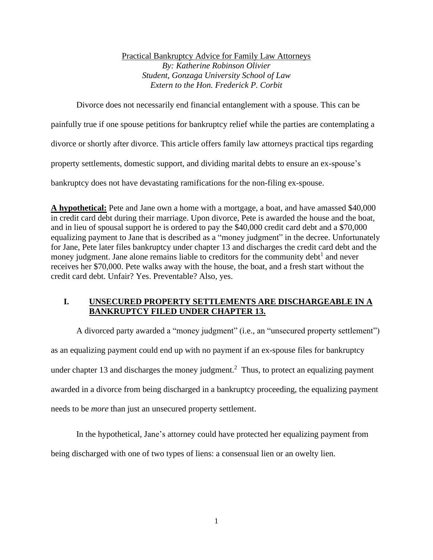Practical Bankruptcy Advice for Family Law Attorneys *By: Katherine Robinson Olivier Student, Gonzaga University School of Law Extern to the Hon. Frederick P. Corbit*

Divorce does not necessarily end financial entanglement with a spouse. This can be

painfully true if one spouse petitions for bankruptcy relief while the parties are contemplating a

divorce or shortly after divorce. This article offers family law attorneys practical tips regarding

property settlements, domestic support, and dividing marital debts to ensure an ex-spouse's

bankruptcy does not have devastating ramifications for the non-filing ex-spouse.

**A hypothetical:** Pete and Jane own a home with a mortgage, a boat, and have amassed \$40,000 in credit card debt during their marriage. Upon divorce, Pete is awarded the house and the boat, and in lieu of spousal support he is ordered to pay the \$40,000 credit card debt and a \$70,000 equalizing payment to Jane that is described as a "money judgment" in the decree. Unfortunately for Jane, Pete later files bankruptcy under chapter 13 and discharges the credit card debt and the money judgment. Jane alone remains liable to creditors for the community debt<sup>1</sup> and never receives her \$70,000. Pete walks away with the house, the boat, and a fresh start without the credit card debt. Unfair? Yes. Preventable? Also, yes.

## **I. UNSECURED PROPERTY SETTLEMENTS ARE DISCHARGEABLE IN A BANKRUPTCY FILED UNDER CHAPTER 13.**

A divorced party awarded a "money judgment" (i.e., an "unsecured property settlement") as an equalizing payment could end up with no payment if an ex-spouse files for bankruptcy under chapter 13 and discharges the money judgment.<sup>2</sup> Thus, to protect an equalizing payment awarded in a divorce from being discharged in a bankruptcy proceeding, the equalizing payment needs to be *more* than just an unsecured property settlement.

In the hypothetical, Jane's attorney could have protected her equalizing payment from

being discharged with one of two types of liens: a consensual lien or an owelty lien.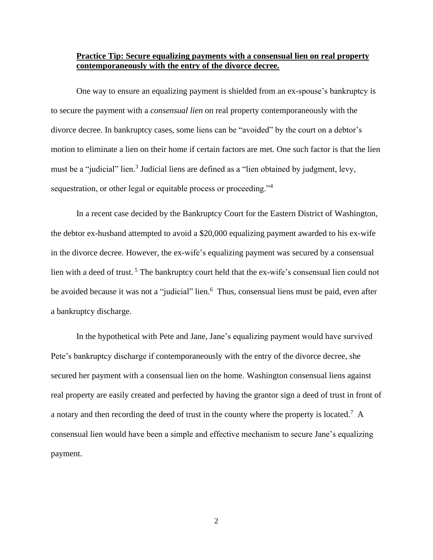### **Practice Tip: Secure equalizing payments with a consensual lien on real property contemporaneously with the entry of the divorce decree.**

One way to ensure an equalizing payment is shielded from an ex-spouse's bankruptcy is to secure the payment with a *consensual lien* on real property contemporaneously with the divorce decree. In bankruptcy cases, some liens can be "avoided" by the court on a debtor's motion to eliminate a lien on their home if certain factors are met. One such factor is that the lien must be a "judicial" lien.<sup>3</sup> Judicial liens are defined as a "lien obtained by judgment, levy, sequestration, or other legal or equitable process or proceeding."<sup>4</sup>

In a recent case decided by the Bankruptcy Court for the Eastern District of Washington, the debtor ex-husband attempted to avoid a \$20,000 equalizing payment awarded to his ex-wife in the divorce decree. However, the ex-wife's equalizing payment was secured by a consensual lien with a deed of trust.<sup>5</sup> The bankruptcy court held that the ex-wife's consensual lien could not be avoided because it was not a "judicial" lien.<sup>6</sup> Thus, consensual liens must be paid, even after a bankruptcy discharge.

In the hypothetical with Pete and Jane, Jane's equalizing payment would have survived Pete's bankruptcy discharge if contemporaneously with the entry of the divorce decree, she secured her payment with a consensual lien on the home. Washington consensual liens against real property are easily created and perfected by having the grantor sign a deed of trust in front of a notary and then recording the deed of trust in the county where the property is located.<sup>7</sup> A consensual lien would have been a simple and effective mechanism to secure Jane's equalizing payment.

2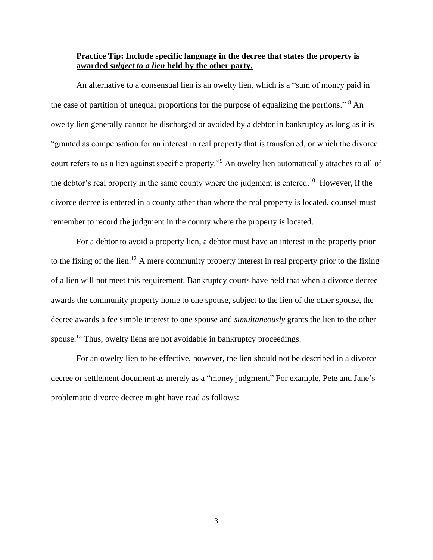### **Practice Tip: Include specific language in the decree that states the property is awarded** *subject to a lien* **held by the other party.**

An alternative to a consensual lien is an owelty lien, which is a "sum of money paid in the case of partition of unequal proportions for the purpose of equalizing the portions." <sup>8</sup> An owelty lien generally cannot be discharged or avoided by a debtor in bankruptcy as long as it is "granted as compensation for an interest in real property that is transferred, or which the divorce court refers to as a lien against specific property."<sup>9</sup> An owelty lien automatically attaches to all of the debtor's real property in the same county where the judgment is entered.<sup>10</sup> However, if the divorce decree is entered in a county other than where the real property is located, counsel must remember to record the judgment in the county where the property is located.<sup>11</sup>

For a debtor to avoid a property lien, a debtor must have an interest in the property prior to the fixing of the lien.<sup>12</sup> A mere community property interest in real property prior to the fixing of a lien will not meet this requirement. Bankruptcy courts have held that when a divorce decree awards the community property home to one spouse, subject to the lien of the other spouse, the decree awards a fee simple interest to one spouse and *simultaneously* grants the lien to the other spouse.<sup>13</sup> Thus, owelty liens are not avoidable in bankruptcy proceedings.

For an owelty lien to be effective, however, the lien should not be described in a divorce decree or settlement document as merely as a "money judgment." For example, Pete and Jane's problematic divorce decree might have read as follows: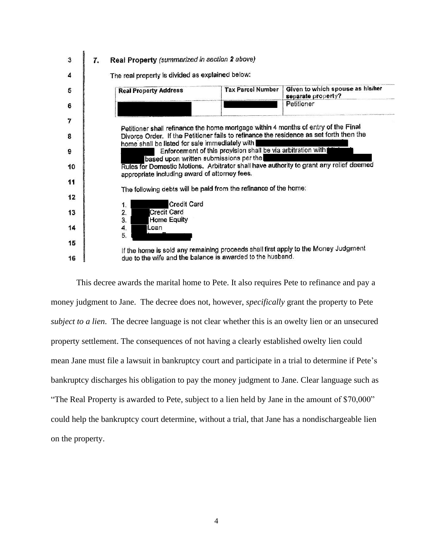

This decree awards the marital home to Pete. It also requires Pete to refinance and pay a money judgment to Jane. The decree does not, however, *specifically* grant the property to Pete *subject to a lien*. The decree language is not clear whether this is an owelty lien or an unsecured property settlement. The consequences of not having a clearly established owelty lien could mean Jane must file a lawsuit in bankruptcy court and participate in a trial to determine if Pete's bankruptcy discharges his obligation to pay the money judgment to Jane. Clear language such as "The Real Property is awarded to Pete, subject to a lien held by Jane in the amount of \$70,000" could help the bankruptcy court determine, without a trial, that Jane has a nondischargeable lien on the property.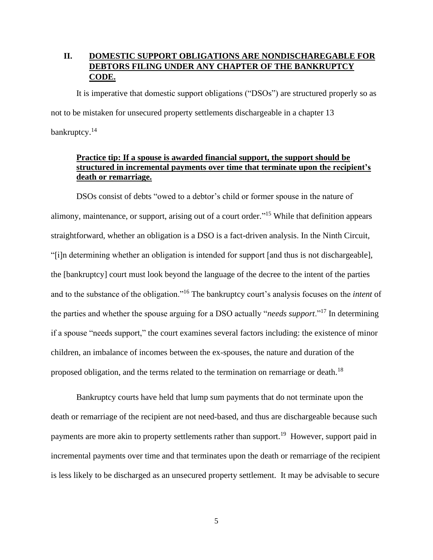# **II. DOMESTIC SUPPORT OBLIGATIONS ARE NONDISCHAREGABLE FOR DEBTORS FILING UNDER ANY CHAPTER OF THE BANKRUPTCY CODE.**

It is imperative that domestic support obligations ("DSOs") are structured properly so as not to be mistaken for unsecured property settlements dischargeable in a chapter 13 bankruptcy.<sup>14</sup>

## **Practice tip: If a spouse is awarded financial support, the support should be structured in incremental payments over time that terminate upon the recipient's death or remarriage.**

DSOs consist of debts "owed to a debtor's child or former spouse in the nature of alimony, maintenance, or support, arising out of a court order."<sup>15</sup> While that definition appears straightforward, whether an obligation is a DSO is a fact-driven analysis. In the Ninth Circuit, "[i]n determining whether an obligation is intended for support [and thus is not dischargeable], the [bankruptcy] court must look beyond the language of the decree to the intent of the parties and to the substance of the obligation."<sup>16</sup> The bankruptcy court's analysis focuses on the *intent* of the parties and whether the spouse arguing for a DSO actually "*needs support*."<sup>17</sup> In determining if a spouse "needs support," the court examines several factors including: the existence of minor children, an imbalance of incomes between the ex-spouses, the nature and duration of the proposed obligation, and the terms related to the termination on remarriage or death.<sup>18</sup>

Bankruptcy courts have held that lump sum payments that do not terminate upon the death or remarriage of the recipient are not need-based, and thus are dischargeable because such payments are more akin to property settlements rather than support.<sup>19</sup> However, support paid in incremental payments over time and that terminates upon the death or remarriage of the recipient is less likely to be discharged as an unsecured property settlement. It may be advisable to secure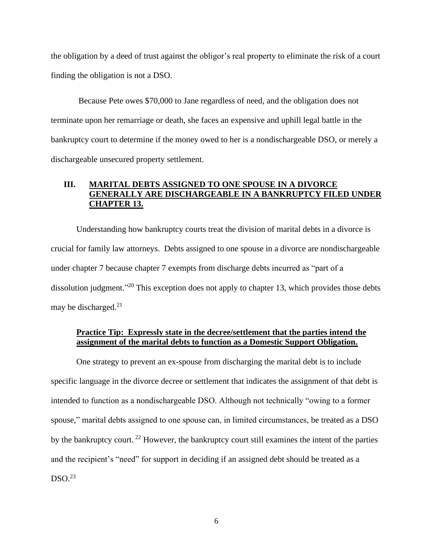the obligation by a deed of trust against the obligor's real property to eliminate the risk of a court finding the obligation is not a DSO.

Because Pete owes \$70,000 to Jane regardless of need, and the obligation does not terminate upon her remarriage or death, she faces an expensive and uphill legal battle in the bankruptcy court to determine if the money owed to her is a nondischargeable DSO, or merely a dischargeable unsecured property settlement.

## **III. MARITAL DEBTS ASSIGNED TO ONE SPOUSE IN A DIVORCE GENERALLY ARE DISCHARGEABLE IN A BANKRUPTCY FILED UNDER CHAPTER 13.**

Understanding how bankruptcy courts treat the division of marital debts in a divorce is crucial for family law attorneys. Debts assigned to one spouse in a divorce are nondischargeable under chapter 7 because chapter 7 exempts from discharge debts incurred as "part of a dissolution judgment."<sup>20</sup> This exception does not apply to chapter 13, which provides those debts may be discharged. 21

### **Practice Tip: Expressly state in the decree/settlement that the parties intend the assignment of the marital debts to function as a Domestic Support Obligation.**

One strategy to prevent an ex-spouse from discharging the marital debt is to include specific language in the divorce decree or settlement that indicates the assignment of that debt is intended to function as a nondischargeable DSO. Although not technically "owing to a former spouse," marital debts assigned to one spouse can, in limited circumstances, be treated as a DSO by the bankruptcy court.<sup>22</sup> However, the bankruptcy court still examines the intent of the parties and the recipient's "need" for support in deciding if an assigned debt should be treated as a  $DSO.<sup>23</sup>$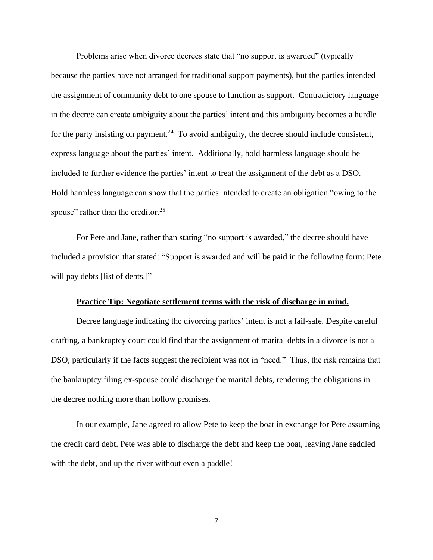Problems arise when divorce decrees state that "no support is awarded" (typically because the parties have not arranged for traditional support payments), but the parties intended the assignment of community debt to one spouse to function as support. Contradictory language in the decree can create ambiguity about the parties' intent and this ambiguity becomes a hurdle for the party insisting on payment.<sup>24</sup> To avoid ambiguity, the decree should include consistent, express language about the parties' intent. Additionally, hold harmless language should be included to further evidence the parties' intent to treat the assignment of the debt as a DSO. Hold harmless language can show that the parties intended to create an obligation "owing to the spouse" rather than the creditor. $25$ 

For Pete and Jane, rather than stating "no support is awarded," the decree should have included a provision that stated: "Support is awarded and will be paid in the following form: Pete will pay debts [list of debts.]"

#### **Practice Tip: Negotiate settlement terms with the risk of discharge in mind.**

Decree language indicating the divorcing parties' intent is not a fail-safe. Despite careful drafting, a bankruptcy court could find that the assignment of marital debts in a divorce is not a DSO, particularly if the facts suggest the recipient was not in "need." Thus, the risk remains that the bankruptcy filing ex-spouse could discharge the marital debts, rendering the obligations in the decree nothing more than hollow promises.

In our example, Jane agreed to allow Pete to keep the boat in exchange for Pete assuming the credit card debt. Pete was able to discharge the debt and keep the boat, leaving Jane saddled with the debt, and up the river without even a paddle!

7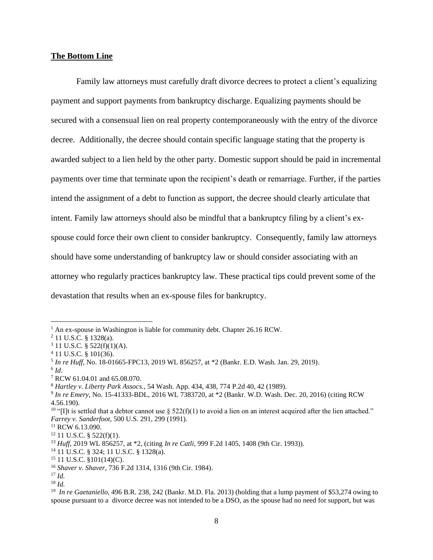#### **The Bottom Line**

Family law attorneys must carefully draft divorce decrees to protect a client's equalizing payment and support payments from bankruptcy discharge. Equalizing payments should be secured with a consensual lien on real property contemporaneously with the entry of the divorce decree. Additionally, the decree should contain specific language stating that the property is awarded subject to a lien held by the other party. Domestic support should be paid in incremental payments over time that terminate upon the recipient's death or remarriage. Further, if the parties intend the assignment of a debt to function as support, the decree should clearly articulate that intent. Family law attorneys should also be mindful that a bankruptcy filing by a client's exspouse could force their own client to consider bankruptcy. Consequently, family law attorneys should have some understanding of bankruptcy law or should consider associating with an attorney who regularly practices bankruptcy law. These practical tips could prevent some of the devastation that results when an ex-spouse files for bankruptcy.

<sup>14</sup> 11 U.S.C. § 324; 11 U.S.C. § 1328(a).

<sup>&</sup>lt;sup>1</sup> An ex-spouse in Washington is liable for community debt. Chapter 26.16 RCW.

<sup>2</sup> 11 U.S.C. § 1328(a).

 $3$  11 U.S.C. § 522(f)(1)(A).

<sup>4</sup> 11 U.S.C. § 101(36).

<sup>5</sup> *In re Huff*, No. 18-01665-FPC13, 2019 WL 856257, at \*2 (Bankr. E.D. Wash. Jan. 29, 2019).

<sup>6</sup> *Id*.

<sup>7</sup> RCW 61.04.01 and 65.08.070.

<sup>8</sup> *Hartley v. Liberty Park Assocs.,* 54 Wash. App. 434, 438, 774 P.2d 40, 42 (1989).

<sup>9</sup> *In re Emery*, No. 15-41333-BDL, 2016 WL 7383720, at \*2 (Bankr. W.D. Wash. Dec. 20, 2016) (citing RCW 4.56.190).

<sup>&</sup>lt;sup>10</sup> "[I]t is settled that a debtor cannot use  $\S 522(f)(1)$  to avoid a lien on an interest acquired after the lien attached." *Farrey v. Sanderfoot,* 500 U.S. 291, 299 (1991).

<sup>&</sup>lt;sup>11</sup> RCW 6.13.090.

 $12$  11 U.S.C. § 522(f)(1).

<sup>13</sup> *Huff*, 2019 WL 856257, at \*2, (citing *In re Catli*, 999 F.2d 1405, 1408 (9th Cir. 1993)).

 $15$  11 U.S.C. §101(14)(C).

<sup>16</sup> *Shaver v. Shaver*, 736 F.2d 1314, 1316 (9th Cir. 1984).

<sup>17</sup> *Id.*

<sup>18</sup> *Id.*

<sup>&</sup>lt;sup>19</sup> *In re Gaetaniello*, 496 B.R. 238, 242 (Bankr. M.D. Fla. 2013) (holding that a lump payment of \$53,274 owing to spouse pursuant to a divorce decree was not intended to be a DSO, as the spouse had no need for support, but was